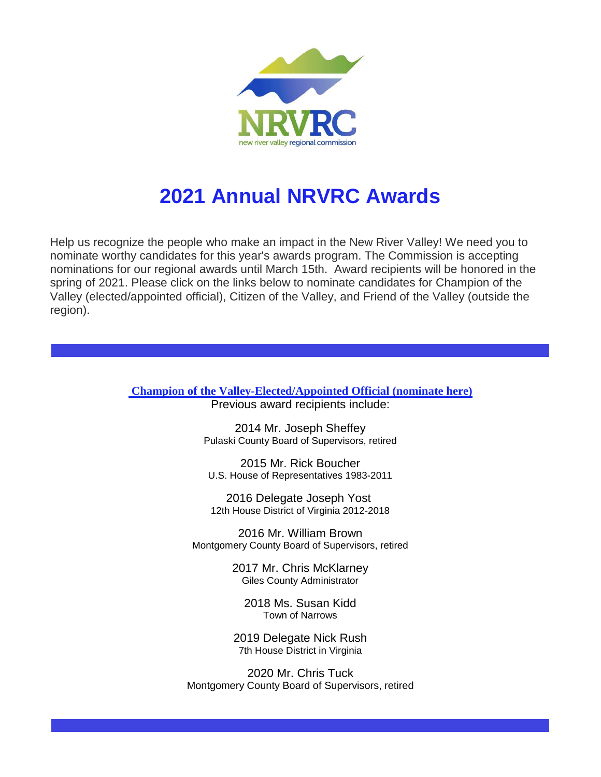

## **2021 Annual NRVRC Awards**

Help us recognize the people who make an impact in the New River Valley! We need you to nominate worthy candidates for this year's awards program. The Commission is accepting nominations for our regional awards until March 15th. Award recipients will be honored in the spring of 2021. Please click on the links below to nominate candidates for Champion of the Valley (elected/appointed official), Citizen of the Valley, and Friend of the Valley (outside the region).

> **Champion of the [Valley-Elected/Appointed](http://r20.rs6.net/tn.jsp?f=001TLMDpxrGOBiVQ3B8B4HVzKvybOazJCU0QRYjH57oOrlDVAGPgNOw9rHuVaioYesFvMXqtvQIhCLJ7FEoSxNQNnLcL7JLFb8PzasYdyBDbYd6IaszSRVX_7Uy-QabPe4HzWkXBv1f0NivWSnODcwevBTIb-y0WJlgCYdvGE_5dJkstymIx6eL7-1bY5KrH8EvbxVZjYQW1bs=&c=EtRyUmiXTZ4EMIuPYoYY5e9JzAjRqtRQFM2VdNuhTSHVD456NEWNOw==&ch=tQG9Fq4Veo5i5x6Mq1esyvX88PMcrkPPRWOQZkFHjaYz07qQFzfo4w==) Official (nominate here)** Previous award recipients include:

> > 2014 Mr. Joseph Sheffey Pulaski County Board of Supervisors, retired

2015 Mr. Rick Boucher U.S. House of Representatives 1983-2011

2016 Delegate Joseph Yost 12th House District of Virginia 2012-2018

2016 Mr. William Brown Montgomery County Board of Supervisors, retired

> 2017 Mr. Chris McKlarney Giles County Administrator

2018 Ms. Susan Kidd Town of Narrows

2019 Delegate Nick Rush 7th House District in Virginia

2020 Mr. Chris Tuck Montgomery County Board of Supervisors, retired